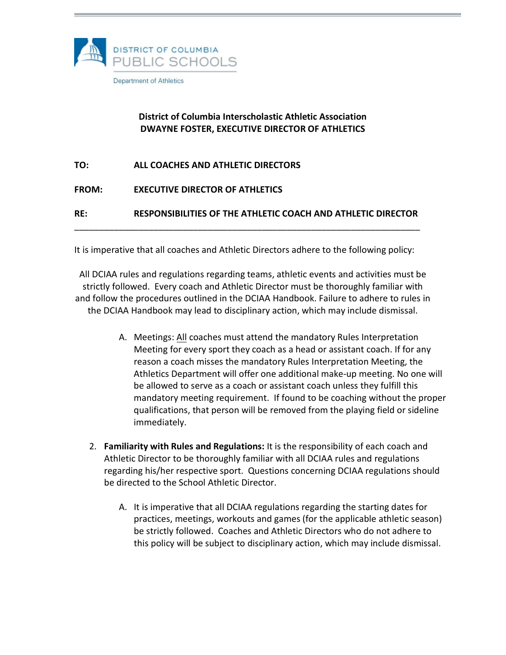

# **District of Columbia Interscholastic Athletic Association DWAYNE FOSTER, EXECUTIVE DIRECTOR OF ATHLETICS**

| RE:          | RESPONSIBILITIES OF THE ATHLETIC COACH AND ATHLETIC DIRECTOR |
|--------------|--------------------------------------------------------------|
|              |                                                              |
| <b>FROM:</b> | <b>EXECUTIVE DIRECTOR OF ATHLETICS</b>                       |
| TO:          | ALL COACHES AND ATHLETIC DIRECTORS                           |

It is imperative that all coaches and Athletic Directors adhere to the following policy:

All DCIAA rules and regulations regarding teams, athletic events and activities must be strictly followed. Every coach and Athletic Director must be thoroughly familiar with and follow the procedures outlined in the DCIAA Handbook. Failure to adhere to rules in the DCIAA Handbook may lead to disciplinary action, which may include dismissal.

- A. Meetings: All coaches must attend the mandatory Rules Interpretation Meeting for every sport they coach as a head or assistant coach. If for any reason a coach misses the mandatory Rules Interpretation Meeting, the Athletics Department will offer one additional make-up meeting. No one will be allowed to serve as a coach or assistant coach unless they fulfill this mandatory meeting requirement. If found to be coaching without the proper qualifications, that person will be removed from the playing field or sideline immediately.
- 2. **Familiarity with Rules and Regulations:** It is the responsibility of each coach and Athletic Director to be thoroughly familiar with all DCIAA rules and regulations regarding his/her respective sport. Questions concerning DCIAA regulations should be directed to the School Athletic Director.
	- A. It is imperative that all DCIAA regulations regarding the starting dates for practices, meetings, workouts and games (for the applicable athletic season) be strictly followed. Coaches and Athletic Directors who do not adhere to this policy will be subject to disciplinary action, which may include dismissal.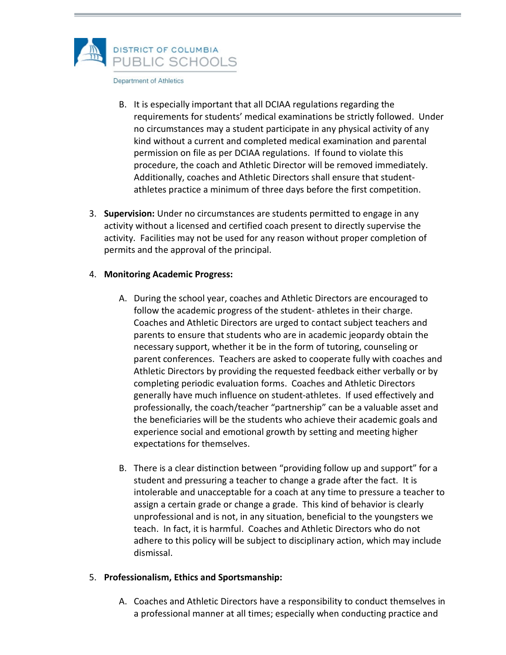

- B. It is especially important that all DCIAA regulations regarding the requirements for students' medical examinations be strictly followed. Under no circumstances may a student participate in any physical activity of any kind without a current and completed medical examination and parental permission on file as per DCIAA regulations. If found to violate this procedure, the coach and Athletic Director will be removed immediately. Additionally, coaches and Athletic Directors shall ensure that studentathletes practice a minimum of three days before the first competition.
- 3. **Supervision:** Under no circumstances are students permitted to engage in any activity without a licensed and certified coach present to directly supervise the activity. Facilities may not be used for any reason without proper completion of permits and the approval of the principal.

#### 4. **Monitoring Academic Progress:**

- A. During the school year, coaches and Athletic Directors are encouraged to follow the academic progress of the student- athletes in their charge. Coaches and Athletic Directors are urged to contact subject teachers and parents to ensure that students who are in academic jeopardy obtain the necessary support, whether it be in the form of tutoring, counseling or parent conferences. Teachers are asked to cooperate fully with coaches and Athletic Directors by providing the requested feedback either verbally or by completing periodic evaluation forms. Coaches and Athletic Directors generally have much influence on student-athletes. If used effectively and professionally, the coach/teacher "partnership" can be a valuable asset and the beneficiaries will be the students who achieve their academic goals and experience social and emotional growth by setting and meeting higher expectations for themselves.
- B. There is a clear distinction between "providing follow up and support" for a student and pressuring a teacher to change a grade after the fact. It is intolerable and unacceptable for a coach at any time to pressure a teacher to assign a certain grade or change a grade. This kind of behavior is clearly unprofessional and is not, in any situation, beneficial to the youngsters we teach. In fact, it is harmful. Coaches and Athletic Directors who do not adhere to this policy will be subject to disciplinary action, which may include dismissal.

### 5. **Professionalism, Ethics and Sportsmanship:**

A. Coaches and Athletic Directors have a responsibility to conduct themselves in a professional manner at all times; especially when conducting practice and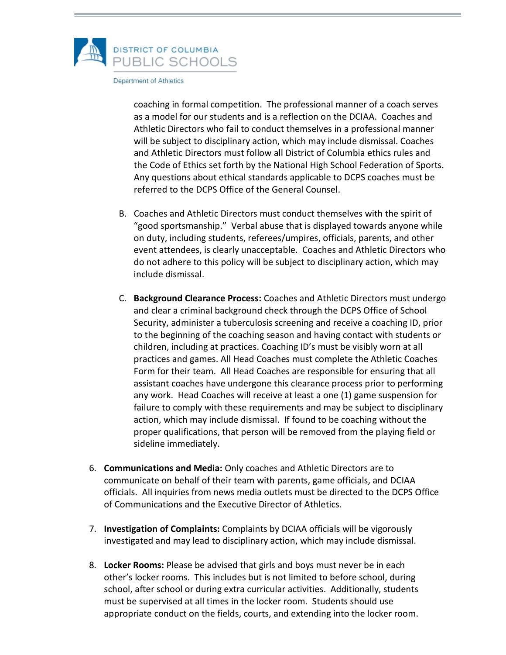

coaching in formal competition. The professional manner of a coach serves as a model for our students and is a reflection on the DCIAA. Coaches and Athletic Directors who fail to conduct themselves in a professional manner will be subject to disciplinary action, which may include dismissal. Coaches and Athletic Directors must follow all District of Columbia ethics rules and the Code of Ethics set forth by the National High School Federation of Sports. Any questions about ethical standards applicable to DCPS coaches must be referred to the DCPS Office of the General Counsel.

- B. Coaches and Athletic Directors must conduct themselves with the spirit of "good sportsmanship." Verbal abuse that is displayed towards anyone while on duty, including students, referees/umpires, officials, parents, and other event attendees, is clearly unacceptable. Coaches and Athletic Directors who do not adhere to this policy will be subject to disciplinary action, which may include dismissal.
- C. **Background Clearance Process:** Coaches and Athletic Directors must undergo and clear a criminal background check through the DCPS Office of School Security, administer a tuberculosis screening and receive a coaching ID, prior to the beginning of the coaching season and having contact with students or children, including at practices. Coaching ID's must be visibly worn at all practices and games. All Head Coaches must complete the Athletic Coaches Form for their team. All Head Coaches are responsible for ensuring that all assistant coaches have undergone this clearance process prior to performing any work. Head Coaches will receive at least a one (1) game suspension for failure to comply with these requirements and may be subject to disciplinary action, which may include dismissal. If found to be coaching without the proper qualifications, that person will be removed from the playing field or sideline immediately.
- 6. **Communications and Media:** Only coaches and Athletic Directors are to communicate on behalf of their team with parents, game officials, and DCIAA officials. All inquiries from news media outlets must be directed to the DCPS Office of Communications and the Executive Director of Athletics.
- 7. **Investigation of Complaints:** Complaints by DCIAA officials will be vigorously investigated and may lead to disciplinary action, which may include dismissal.
- 8. **Locker Rooms:** Please be advised that girls and boys must never be in each other's locker rooms. This includes but is not limited to before school, during school, after school or during extra curricular activities. Additionally, students must be supervised at all times in the locker room. Students should use appropriate conduct on the fields, courts, and extending into the locker room.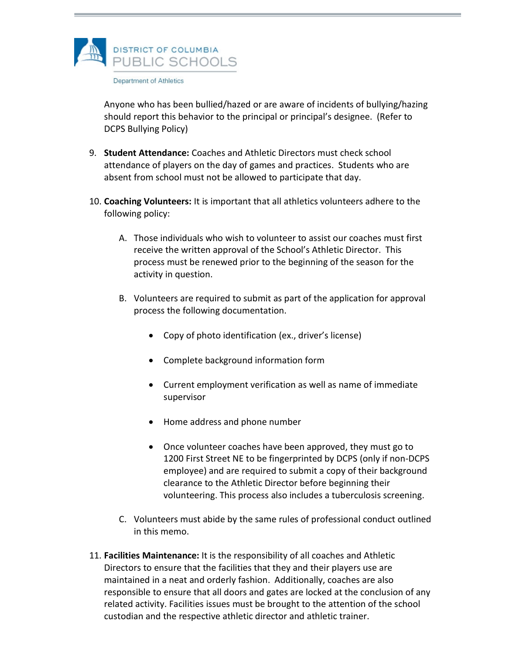

Anyone who has been bullied/hazed or are aware of incidents of bullying/hazing should report this behavior to the principal or principal's designee. (Refer to DCPS Bullying Policy)

- 9. **Student Attendance:** Coaches and Athletic Directors must check school attendance of players on the day of games and practices. Students who are absent from school must not be allowed to participate that day.
- 10. **Coaching Volunteers:** It is important that all athletics volunteers adhere to the following policy:
	- A. Those individuals who wish to volunteer to assist our coaches must first receive the written approval of the School's Athletic Director. This process must be renewed prior to the beginning of the season for the activity in question.
	- B. Volunteers are required to submit as part of the application for approval process the following documentation.
		- Copy of photo identification (ex., driver's license)
		- Complete background information form
		- Current employment verification as well as name of immediate supervisor
		- Home address and phone number
		- Once volunteer coaches have been approved, they must go to 1200 First Street NE to be fingerprinted by DCPS (only if non-DCPS employee) and are required to submit a copy of their background clearance to the Athletic Director before beginning their volunteering. This process also includes a tuberculosis screening.
	- C. Volunteers must abide by the same rules of professional conduct outlined in this memo.
- 11. **Facilities Maintenance:** It is the responsibility of all coaches and Athletic Directors to ensure that the facilities that they and their players use are maintained in a neat and orderly fashion. Additionally, coaches are also responsible to ensure that all doors and gates are locked at the conclusion of any related activity. Facilities issues must be brought to the attention of the school custodian and the respective athletic director and athletic trainer.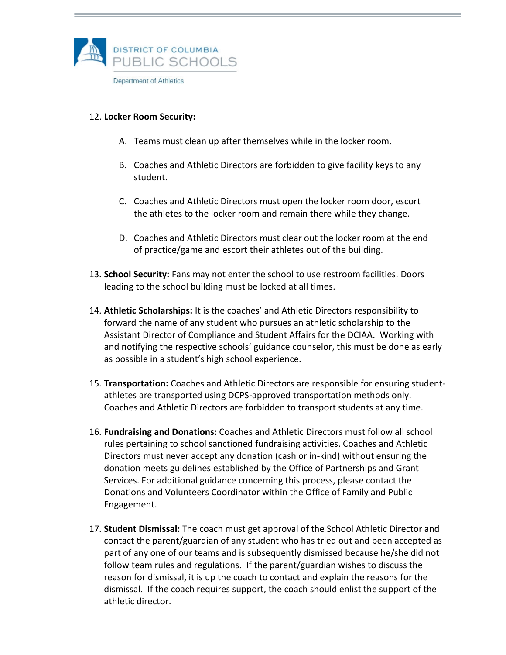

12. **Locker Room Security:**

- A. Teams must clean up after themselves while in the locker room.
- B. Coaches and Athletic Directors are forbidden to give facility keys to any student.
- C. Coaches and Athletic Directors must open the locker room door, escort the athletes to the locker room and remain there while they change.
- D. Coaches and Athletic Directors must clear out the locker room at the end of practice/game and escort their athletes out of the building.
- 13. **School Security:** Fans may not enter the school to use restroom facilities. Doors leading to the school building must be locked at all times.
- 14. **Athletic Scholarships:** It is the coaches' and Athletic Directors responsibility to forward the name of any student who pursues an athletic scholarship to the Assistant Director of Compliance and Student Affairs for the DCIAA. Working with and notifying the respective schools' guidance counselor, this must be done as early as possible in a student's high school experience.
- 15. **Transportation:** Coaches and Athletic Directors are responsible for ensuring studentathletes are transported using DCPS-approved transportation methods only. Coaches and Athletic Directors are forbidden to transport students at any time.
- 16. **Fundraising and Donations:** Coaches and Athletic Directors must follow all school rules pertaining to school sanctioned fundraising activities. Coaches and Athletic Directors must never accept any donation (cash or in-kind) without ensuring the donation meets guidelines established by the Office of Partnerships and Grant Services. For additional guidance concerning this process, please contact the Donations and Volunteers Coordinator within the Office of Family and Public Engagement.
- 17. **Student Dismissal:** The coach must get approval of the School Athletic Director and contact the parent/guardian of any student who has tried out and been accepted as part of any one of our teams and is subsequently dismissed because he/she did not follow team rules and regulations. If the parent/guardian wishes to discuss the reason for dismissal, it is up the coach to contact and explain the reasons for the dismissal. If the coach requires support, the coach should enlist the support of the athletic director.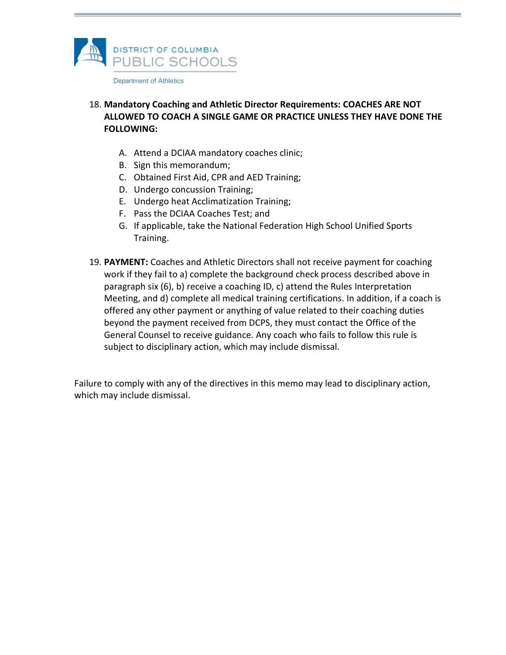

## 18. **Mandatory Coaching and Athletic Director Requirements: COACHES ARE NOT ALLOWED TO COACH A SINGLE GAME OR PRACTICE UNLESS THEY HAVE DONE THE FOLLOWING:**

- A. Attend a DCIAA mandatory coaches clinic;
- B. Sign this memorandum;
- C. Obtained First Aid, CPR and AED Training;
- D. Undergo concussion Training;
- E. Undergo heat Acclimatization Training;
- F. Pass the DCIAA Coaches Test; and
- G. If applicable, take the National Federation High School Unified Sports Training.
- 19. **PAYMENT:** Coaches and Athletic Directors shall not receive payment for coaching work if they fail to a) complete the background check process described above in paragraph six (6), b) receive a coaching ID, c) attend the Rules Interpretation Meeting, and d) complete all medical training certifications. In addition, if a coach is offered any other payment or anything of value related to their coaching duties beyond the payment received from DCPS, they must contact the Office of the General Counsel to receive guidance. Any coach who fails to follow this rule is subject to disciplinary action, which may include dismissal.

Failure to comply with any of the directives in this memo may lead to disciplinary action, which may include dismissal.